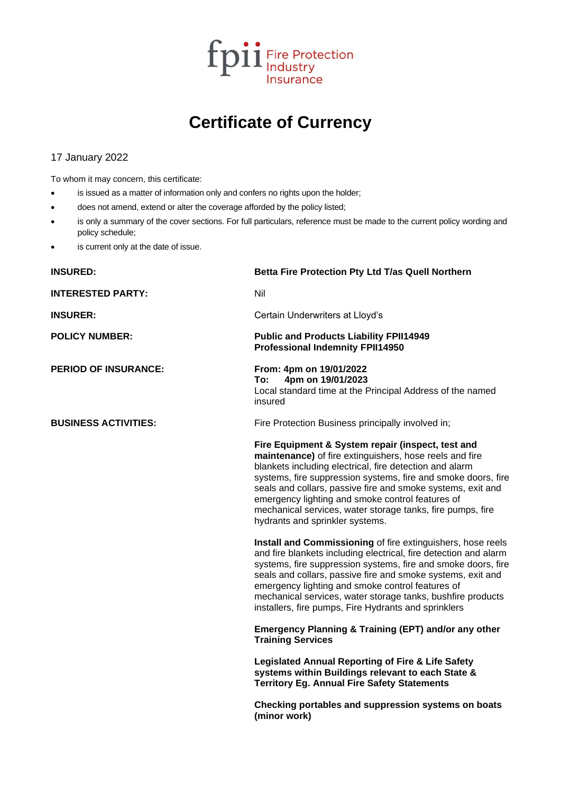

## **Certificate of Currency**

## 17 January 2022

To whom it may concern, this certificate:

- is issued as a matter of information only and confers no rights upon the holder;
- does not amend, extend or alter the coverage afforded by the policy listed;
- is only a summary of the cover sections. For full particulars, reference must be made to the current policy wording and policy schedule;
- is current only at the date of issue.

| <b>INSURED:</b>             | Betta Fire Protection Pty Ltd T/as Quell Northern                                                                                                                                                                                                                                                                                                                                                                                                            |
|-----------------------------|--------------------------------------------------------------------------------------------------------------------------------------------------------------------------------------------------------------------------------------------------------------------------------------------------------------------------------------------------------------------------------------------------------------------------------------------------------------|
| <b>INTERESTED PARTY:</b>    | Nil                                                                                                                                                                                                                                                                                                                                                                                                                                                          |
| <b>INSURER:</b>             | Certain Underwriters at Lloyd's                                                                                                                                                                                                                                                                                                                                                                                                                              |
| <b>POLICY NUMBER:</b>       | <b>Public and Products Liability FPII14949</b><br><b>Professional Indemnity FPII14950</b>                                                                                                                                                                                                                                                                                                                                                                    |
| <b>PERIOD OF INSURANCE:</b> | From: 4pm on 19/01/2022<br>4pm on 19/01/2023<br>To:<br>Local standard time at the Principal Address of the named<br>insured                                                                                                                                                                                                                                                                                                                                  |
| <b>BUSINESS ACTIVITIES:</b> | Fire Protection Business principally involved in;                                                                                                                                                                                                                                                                                                                                                                                                            |
|                             | Fire Equipment & System repair (inspect, test and<br>maintenance) of fire extinguishers, hose reels and fire<br>blankets including electrical, fire detection and alarm<br>systems, fire suppression systems, fire and smoke doors, fire<br>seals and collars, passive fire and smoke systems, exit and<br>emergency lighting and smoke control features of<br>mechanical services, water storage tanks, fire pumps, fire<br>hydrants and sprinkler systems. |
|                             | Install and Commissioning of fire extinguishers, hose reels<br>and fire blankets including electrical, fire detection and alarm<br>systems, fire suppression systems, fire and smoke doors, fire<br>seals and collars, passive fire and smoke systems, exit and<br>emergency lighting and smoke control features of<br>mechanical services, water storage tanks, bushfire products<br>installers, fire pumps, Fire Hydrants and sprinklers                   |
|                             | Emergency Planning & Training (EPT) and/or any other<br><b>Training Services</b>                                                                                                                                                                                                                                                                                                                                                                             |
|                             | <b>Legislated Annual Reporting of Fire &amp; Life Safety</b><br>systems within Buildings relevant to each State &<br><b>Territory Eg. Annual Fire Safety Statements</b>                                                                                                                                                                                                                                                                                      |
|                             | Checking portables and suppression systems on boats<br>(minor work)                                                                                                                                                                                                                                                                                                                                                                                          |